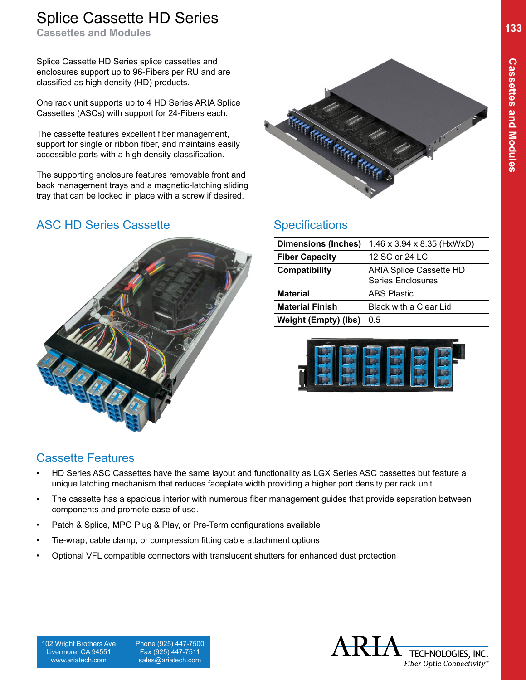## **133** Splice Cassette HD Series **133**

**Cassettes and Modules**

Splice Cassette HD Series splice cassettes and enclosures support up to 96-Fibers per RU and are classified as high density (HD) products.

One rack unit supports up to 4 HD Series ARIA Splice Cassettes (ASCs) with support for 24-Fibers each.

The cassette features excellent fiber management, support for single or ribbon fiber, and maintains easily accessible ports with a high density classification.

The supporting enclosure features removable front and back management trays and a magnetic-latching sliding tray that can be locked in place with a screw if desired.

### ASC HD Series Cassette Specifications





| <b>Dimensions (Inches)</b> | $1.46 \times 3.94 \times 8.35$ (HxWxD)              |
|----------------------------|-----------------------------------------------------|
| <b>Fiber Capacity</b>      | 12 SC or 24 LC                                      |
| Compatibility              | <b>ARIA Splice Cassette HD</b><br>Series Enclosures |
| <b>Material</b>            | <b>ABS Plastic</b>                                  |
| <b>Material Finish</b>     | <b>Black with a Clear Lid</b>                       |
| Weight (Empty) (lbs)       | 0.5                                                 |



### Cassette Features

- HD Series ASC Cassettes have the same layout and functionality as LGX Series ASC cassettes but feature a unique latching mechanism that reduces faceplate width providing a higher port density per rack unit.
- The cassette has a spacious interior with numerous fiber management guides that provide separation between components and promote ease of use.
- Patch & Splice, MPO Plug & Play, or Pre-Term configurations available
- Tie-wrap, cable clamp, or compression fitting cable attachment options
- Optional VFL compatible connectors with translucent shutters for enhanced dust protection

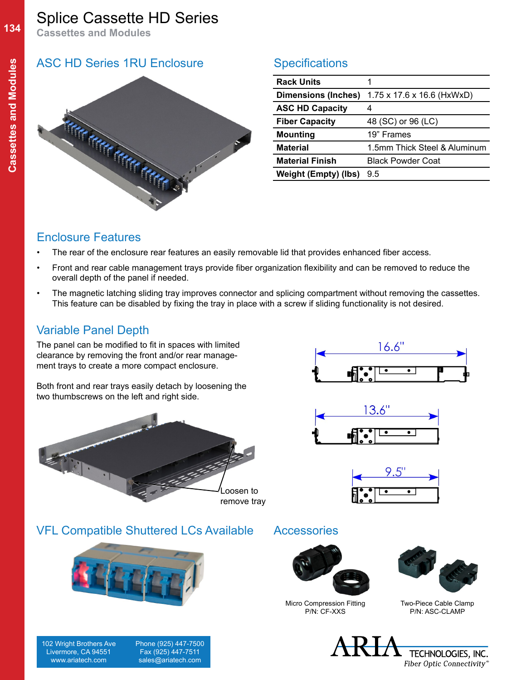**134**

## Splice Cassette HD Series

**Cassettes and Modules**

### ASC HD Series 1RU Enclosure Specifications



| 1                                      |
|----------------------------------------|
| $1.75 \times 17.6 \times 16.6$ (HxWxD) |
| 4                                      |
| 48 (SC) or 96 (LC)                     |
| 19" Frames                             |
| 1.5mm Thick Steel & Aluminum           |
| <b>Black Powder Coat</b>               |
| 9.5                                    |
|                                        |

### Enclosure Features

- The rear of the enclosure rear features an easily removable lid that provides enhanced fiber access.
- Front and rear cable management trays provide fiber organization flexibility and can be removed to reduce the overall depth of the panel if needed.
- The magnetic latching sliding tray improves connector and splicing compartment without removing the cassettes. This feature can be disabled by fixing the tray in place with a screw if sliding functionality is not desired.

### Variable Panel Depth

The panel can be modified to fit in spaces with limited clearance by removing the front and/or rear management trays to create a more compact enclosure.

Both front and rear trays easily detach by loosening the two thumbscrews on the left and right side.



VFL Compatible Shuttered LCs Available Accessories







Micro Compression Fitting P/N: CF-XXS



Two-Piece Cable Clamp P/N: ASC-CLAMP

 Phone (925) 447-7500 Fax (925) 447-7511 sales@ariatech.com





|  | ٠ |  |
|--|---|--|
|  |   |  |